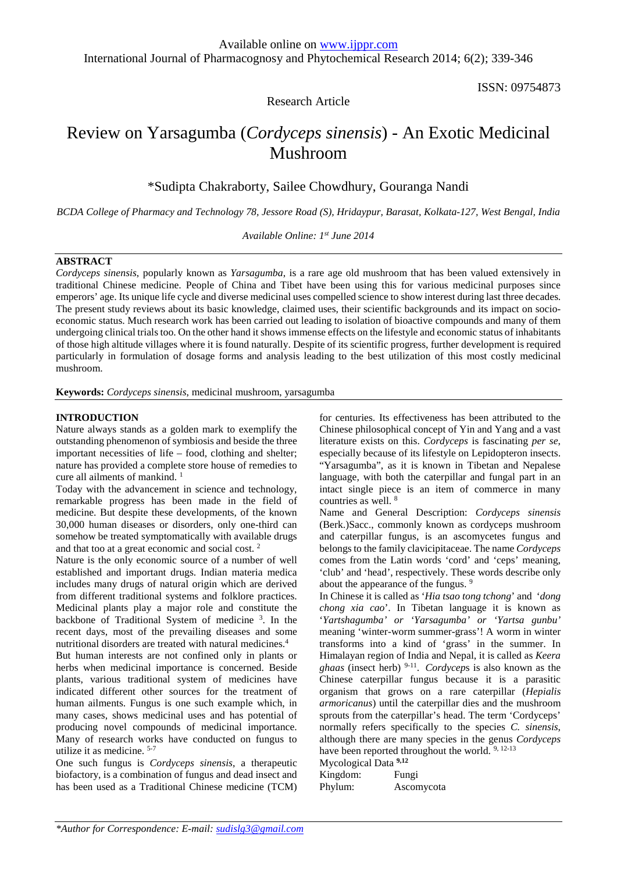ISSN: 09754873

Research Article

# Review on Yarsagumba (*Cordyceps sinensis*) - An Exotic Medicinal Mushroom

\*Sudipta Chakraborty, Sailee Chowdhury, Gouranga Nandi

*BCDA College of Pharmacy and Technology 78, Jessore Road (S), Hridaypur, Barasat, Kolkata-127, West Bengal, India*

*Available Online: 1 st June 2014*

## **ABSTRACT**

*Cordyceps sinensis*, popularly known as *Yarsagumba*, is a rare age old mushroom that has been valued extensively in traditional Chinese medicine. People of China and Tibet have been using this for various medicinal purposes since emperors' age. Its unique life cycle and diverse medicinal uses compelled science to show interest during last three decades. The present study reviews about its basic knowledge, claimed uses, their scientific backgrounds and its impact on socio economic status. Much research work has been carried out leading to isolation of bioactive compounds and many of them undergoing clinical trials too. On the other hand it showsimmense effects on the lifestyle and economic status of inhabitants of those high altitude villages where it is found naturally. Despite of its scientific progress, further development is required particularly in formulation of dosage forms and analysis leading to the best utilization of this most costly medicinal mushroom.

**Keywords:** *Cordyceps sinensis*, medicinal mushroom, yarsagumba

## **INTRODUCTION**

Nature always stands as a golden mark to exemplify the outstanding phenomenon of symbiosis and beside the three important necessities of life – food, clothing and shelter; nature has provided a complete store house of remedies to cure all ailments of mankind.<sup>1</sup>

Today with the advancement in science and technology, remarkable progress has been made in the field of medicine. But despite these developments, of the known 30,000 human diseases or disorders, only one-third can somehow be treated symptomatically with available drugs and that too at a great economic and social cost. <sup>2</sup>

Nature is the only economic source of a number of well established and important drugs. Indian materia medica includes many drugs of natural origin which are derived from different traditional systems and folklore practices. Medicinal plants play a major role and constitute the backbone of Traditional System of medicine  $3$ . In the 'Ye recent days, most of the prevailing diseases and some nutritional disorders are treated with natural medicines.<sup>4</sup>

But human interests are not confined only in plants or herbs when medicinal importance is concerned. Beside plants, various traditional system of medicines have indicated different other sources for the treatment of human ailments. Fungus is one such example which, in many cases, shows medicinal uses and has potential of producing novel compounds of medicinal importance. Many of research works have conducted on fungus to utilize it as medicine. 5-7

One such fungus is *Cordyceps sinensis*, a therapeutic biofactory, is a combination of fungus and dead insect and has been used as a Traditional Chinese medicine (TCM) Phylum:

for centuries. Its effectiveness has been attributed to the Chinese philosophical concept of Yin and Yang and a vast literature exists on this. *Cordyceps* is fascinating *per se*, especially because of its lifestyle on Lepidopteron insects. "Yarsagumba", as it is known in Tibetan and Nepalese language, with both the caterpillar and fungal part in an intact single piece is an item of commerce in many countries as well. <sup>8</sup>

Name and General Description: *Cordyceps sinensis* (Berk.)Sacc., commonly known as cordyceps mushroom and caterpillar fungus, is an ascomycetes fungus and belongs to the family clavicipitaceae. The name *Cordyceps* comes from the Latin words 'cord' and 'ceps' meaning, 'club' and 'head', respectively. These words describe only about the appearance of the fungus. <sup>9</sup>

In Chinese it is called as '*Hia tsao tong tchong*' and '*dong chong xia cao*'. In Tibetan language it is known as '*Yartshagumba' or 'Yarsagumba' or 'Yartsa gunbu'* meaning 'winter-worm summer-grass'! A worm in winter transforms into a kind of 'grass' in the summer. In Himalayan region of India and Nepal, it is called as *Keera ghaas* (insect herb) 9-11 . *Cordycep*s is also known as the Chinese caterpillar fungus because it is a parasitic organism that grows on a rare caterpillar (*Hepialis armoricanus*) until the caterpillar dies and the mushroom sprouts from the caterpillar's head. The term 'Cordyceps' normally refers specifically to the species *C. sinensis*, although there are many species in the genus *Cordyceps* have been reported throughout the world.<sup>9, 12-13</sup>

Mycological Data **9,12**

Kingdom: Fungi Ascomycota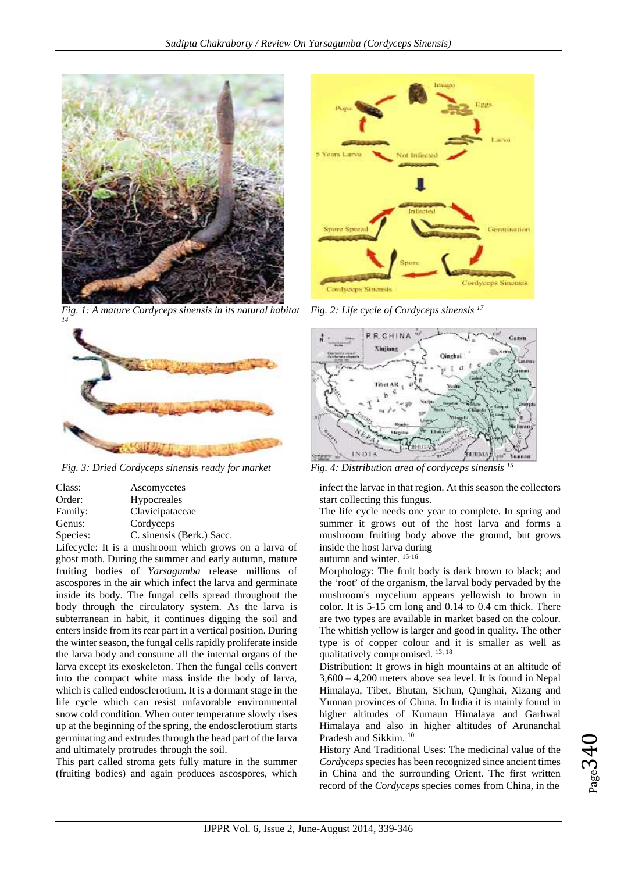

*Fig. 1: A mature Cordyceps sinensis in its natural habitat <sup>14</sup> Fig. 2: Life cycle of Cordyceps sinensis <sup>17</sup>*



*Fig. 3: Dried Cordyceps sinensis ready for market Fig. 4: Distribution area of cordyceps sinensis <sup>15</sup>*

| Class:   | Ascomycetes               |
|----------|---------------------------|
| Order:   | Hypocreales               |
| Family:  | Clavicipataceae           |
| Genus:   | Cordyceps                 |
| Species: | C. sinensis (Berk.) Sacc. |
| .        |                           |

Lifecycle: It is a mushroom which grows on a larva of ghost moth. During the summer and early autumn, mature fruiting bodies of *Yarsagumba* release millions of ascospores in the air which infect the larva and germinate inside its body. The fungal cells spread throughout the body through the circulatory system. As the larva is subterranean in habit, it continues digging the soil and enters inside from its rear part in a vertical position. During the winter season, the fungal cells rapidly proliferate inside the larva body and consume all the internal organs of the larva except its exoskeleton. Then the fungal cells convert into the compact white mass inside the body of larva, which is called endosclerotium. It is a dormant stage in the life cycle which can resist unfavorable environmental snow cold condition. When outer temperature slowly rises up at the beginning of the spring, the endosclerotium starts germinating and extrudes through the head part of the larva and ultimately protrudes through the soil.

This part called stroma gets fully mature in the summer (fruiting bodies) and again produces ascospores, which





infect the larvae in that region. At this season the collectors start collecting this fungus.

The life cycle needs one year to complete. In spring and summer it grows out of the host larva and forms a mushroom fruiting body above the ground, but grows inside the host larva during

autumn and winter. 15-16

Morphology: The fruit body is dark brown to black; and the 'root' of the organism, the larval body pervaded by the mushroom's mycelium appears yellowish to brown in color. It is 5-15 cm long and 0.14 to 0.4 cm thick. There are two types are available in market based on the colour. The whitish yellow is larger and good in quality. The other type is of copper colour and it is smaller as well as qualitatively compromised. <sup>13, 18</sup>

Distribution: It grows in high mountains at an altitude of 3,600 – 4,200 meters above sea level. It is found in Nepal Himalaya, Tibet, Bhutan, Sichun, Qunghai, Xizang and Yunnan provinces of China. In India it is mainly found in higher altitudes of Kumaun Himalaya and Garhwal Himalaya and also in higher altitudes of Arunanchal Pradesh and Sikkim. <sup>10</sup>

History And Traditional Uses: The medicinal value of the *Cordyceps* species has been recognized since ancient times in China and the surrounding Orient. The first written record of the *Cordyceps* species comes from China, in the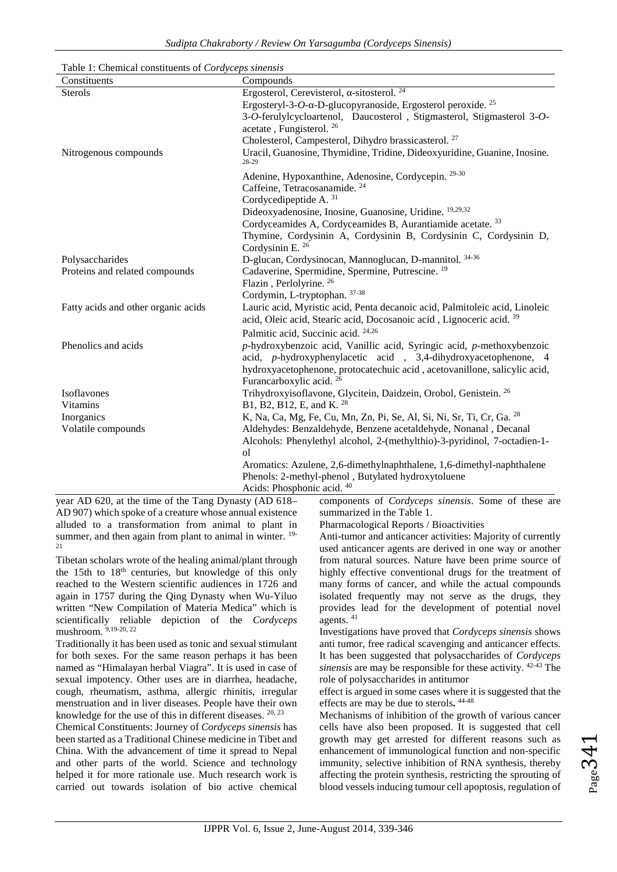| Table 1: Chemical constituents of <i>Cordyceps sinensis</i> |  |  |
|-------------------------------------------------------------|--|--|
|                                                             |  |  |

| Compounds                                                                                                                                                                                                                                                   |
|-------------------------------------------------------------------------------------------------------------------------------------------------------------------------------------------------------------------------------------------------------------|
| Ergosterol, Cerevisterol, -sitosterol. <sup>24</sup>                                                                                                                                                                                                        |
| Ergosteryl-3-O- -D-glucopyranoside, Ergosterol peroxide. <sup>25</sup>                                                                                                                                                                                      |
| 3-O-ferulylcycloartenol, Daucosterol, Stigmasterol, Stigmasterol 3-O-<br>acetate, Fungisterol. <sup>26</sup>                                                                                                                                                |
| Cholesterol, Campesterol, Dihydro brassicasterol. <sup>27</sup>                                                                                                                                                                                             |
| Uracil, Guanosine, Thymidine, Tridine, Dideoxyuridine, Guanine, Inosine.<br>28-29                                                                                                                                                                           |
| Adenine, Hypoxanthine, Adenosine, Cordycepin. 29-30                                                                                                                                                                                                         |
| Caffeine, Tetracosanamide. <sup>24</sup>                                                                                                                                                                                                                    |
| Cordycedipeptide A. 31                                                                                                                                                                                                                                      |
| Dideoxyadenosine, Inosine, Guanosine, Uridine. 19,29,32                                                                                                                                                                                                     |
| Cordyceamides A, Cordyceamides B, Aurantiamide acetate. <sup>33</sup>                                                                                                                                                                                       |
| Thymine, Cordysinin A, Cordysinin B, Cordysinin C, Cordysinin D,<br>Cordysinin E. 26                                                                                                                                                                        |
| D-glucan, Cordysinocan, Mannoglucan, D-mannitol. 34-36                                                                                                                                                                                                      |
| Cadaverine, Spermidine, Spermine, Putrescine. <sup>19</sup>                                                                                                                                                                                                 |
| Flazin, Perlolyrine. <sup>26</sup>                                                                                                                                                                                                                          |
| Cordymin, L-tryptophan. 37-38                                                                                                                                                                                                                               |
| Lauric acid, Myristic acid, Penta decanoic acid, Palmitoleic acid, Linoleic<br>acid, Oleic acid, Stearic acid, Docosanoic acid, Lignoceric acid. 39                                                                                                         |
| Palmitic acid, Succinic acid. 24,26                                                                                                                                                                                                                         |
| p-hydroxybenzoic acid, Vanillic acid, Syringic acid, p-methoxybenzoic<br>acid, p-hydroxyphenylacetic acid, 3,4-dihydroxyacetophenone, 4<br>hydroxyacetophenone, protocatechuic acid, acetovanillone, salicylic acid,<br>Furancarboxylic acid. <sup>26</sup> |
| Trihydroxyisoflavone, Glycitein, Daidzein, Orobol, Genistein. 26                                                                                                                                                                                            |
| B1, B2, B12, E, and K. <sup>28</sup>                                                                                                                                                                                                                        |
| K, Na, Ca, Mg, Fe, Cu, Mn, Zn, Pi, Se, Al, Si, Ni, Sr, Ti, Cr, Ga. <sup>28</sup>                                                                                                                                                                            |
| Aldehydes: Benzaldehyde, Benzene acetaldehyde, Nonanal, Decanal                                                                                                                                                                                             |
| Alcohols: Phenylethyl alcohol, 2-(methylthio)-3-pyridinol, 7-octadien-1-                                                                                                                                                                                    |
| ol                                                                                                                                                                                                                                                          |
| Aromatics: Azulene, 2,6-dimethylnaphthalene, 1,6-dimethyl-naphthalene<br>Phenols: 2-methyl-phenol, Butylated hydroxytoluene                                                                                                                                 |
| Acids: Phosphonic acid. 40                                                                                                                                                                                                                                  |
|                                                                                                                                                                                                                                                             |

year AD 620, at the time of the Tang Dynasty (AD 618– AD 907) which spoke of a creature whose annual existence alluded to a transformation from animal to plant in summer, and then again from plant to animal in winter. <sup>19-</sup> 21

Tibetan scholars wrote of the healing animal/plant through the 15th to 18th centuries, but knowledge of this only reached to the Western scientific audiences in 1726 and again in 1757 during the Qing Dynasty when Wu-Yiluo written "New Compilation of Materia Medica" which is scientifically reliable depiction of the *Cordyceps* mushroom. 9,19-20, 22

Traditionally it has been used as tonic and sexual stimulant for both sexes. For the same reason perhaps it has been named as "Himalayan herbal Viagra". It is used in case of sexual impotency. Other uses are in diarrhea, headache, cough, rheumatism, asthma, allergic rhinitis, irregular menstruation and in liver diseases. People have their own knowledge for the use of this in different diseases. 20, 23

Chemical Constituents: Journey of *Cordyceps sinensis* has been started as a Traditional Chinese medicine in Tibet and China. With the advancement of time it spread to Nepal and other parts of the world. Science and technology helped it for more rationale use. Much research work is carried out towards isolation of bio active chemical components of *Cordyceps sinensis*. Some of these are summarized in the Table 1.

Pharmacological Reports / Bioactivities

Anti-tumor and anticancer activities: Majority of currently used anticancer agents are derived in one way or another from natural sources. Nature have been prime source of highly effective conventional drugs for the treatment of many forms of cancer, and while the actual compounds isolated frequently may not serve as the drugs, they provides lead for the development of potential novel agents.<sup>41</sup>

Investigations have proved that *Cordyceps sinensis* shows anti tumor, free radical scavenging and anticancer effects. It has been suggested that polysaccharides of *Cordyceps sinensis* are may be responsible for these activity. 42-43 The role of polysaccharides in antitumor

effect is argued in some cases where it is suggested that the effects are may be due to sterols**.** 44-48

Mechanisms of inhibition of the growth of various cancer cells have also been proposed. It is suggested that cell growth may get arrested for different reasons such as enhancement of immunological function and non-specific immunity, selective inhibition of RNA synthesis, thereby affecting the protein synthesis, restricting the sprouting of blood vessels inducing tumour cell apoptosis, regulation of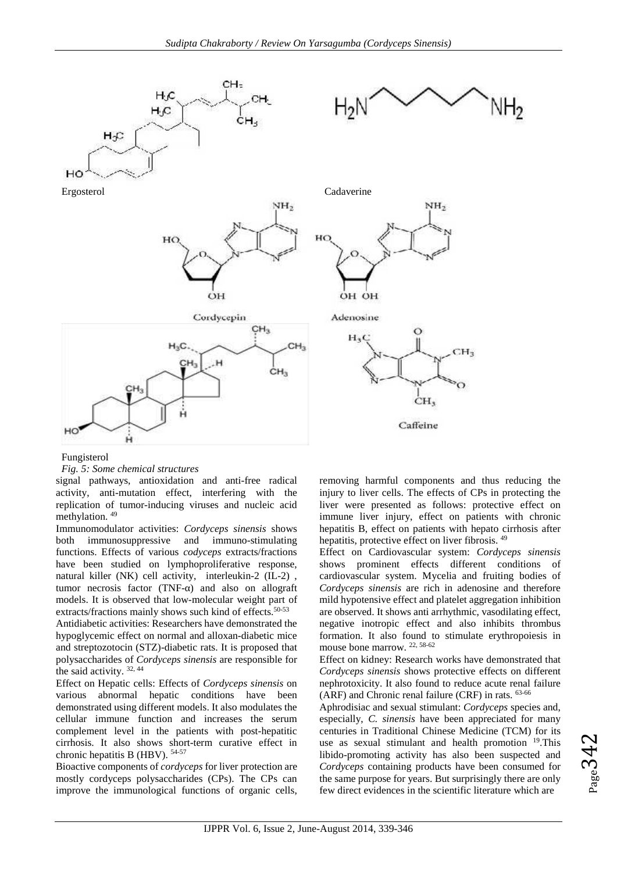

#### Fungisterol

*Fig. 5: Some chemical structures*

signal pathways, antioxidation and anti-free radical activity, anti-mutation effect, interfering with the replication of tumor-inducing viruses and nucleic acid methylation. <sup>49</sup>

Immunomodulator activities: *Cordyceps sinensis* shows both immunosuppressive and immuno-stimulating functions. Effects of various *codyceps* extracts/fractions have been studied on lymphoproliferative response, natural killer (NK) cell activity, interleukin-2 (IL-2) , tumor necrosis factor (TNF-) and also on allograft models. It is observed that low-molecular weight part of extracts/fractions mainly shows such kind of effects.<sup>50-53</sup>

Antidiabetic activities: Researchers have demonstrated the hypoglycemic effect on normal and alloxan-diabetic mice and streptozotocin (STZ)-diabetic rats. It is proposed that polysaccharides of *Cordyceps sinensis* are responsible for the said activity. 32, 44

Effect on Hepatic cells: Effects of *Cordyceps sinensis* on various abnormal hepatic conditions have been demonstrated using different models. It also modulates the cellular immune function and increases the serum complement level in the patients with post-hepatitic cirrhosis. It also shows short-term curative effect in chronic hepatitis B (HBV). 54-57

Bioactive components of *cordyceps* for liver protection are mostly cordyceps polysaccharides (CPs). The CPs can improve the immunological functions of organic cells, removing harmful components and thus reducing the injury to liver cells. The effects of CPs in protecting the liver were presented as follows: protective effect on immune liver injury, effect on patients with chronic hepatitis B, effect on patients with hepato cirrhosis after hepatitis, protective effect on liver fibrosis. <sup>49</sup>

Effect on Cardiovascular system: *Cordyceps sinensis* shows prominent effects different conditions of cardiovascular system. Mycelia and fruiting bodies of *Cordyceps sinensis* are rich in adenosine and therefore mild hypotensive effect and platelet aggregation inhibition are observed. It shows anti arrhythmic, vasodilating effect, negative inotropic effect and also inhibits thrombus formation. It also found to stimulate erythropoiesis in mouse bone marrow. 22, 58-62

Effect on kidney: Research works have demonstrated that *Cordyceps sinensis* shows protective effects on different nephrotoxicity. It also found to reduce acute renal failure (ARF) and Chronic renal failure (CRF) in rats. 63-66

Aphrodisiac and sexual stimulant: *Cordyceps* species and, especially, *C. sinensis* have been appreciated for many centuries in Traditional Chinese Medicine (TCM) for its use as sexual stimulant and health promotion  $^{19}$ . This libido-promoting activity has also been suspected and *Cordyceps* containing products have been consumed for the same purpose for years. But surprisingly there are only few direct evidences in the scientific literature which are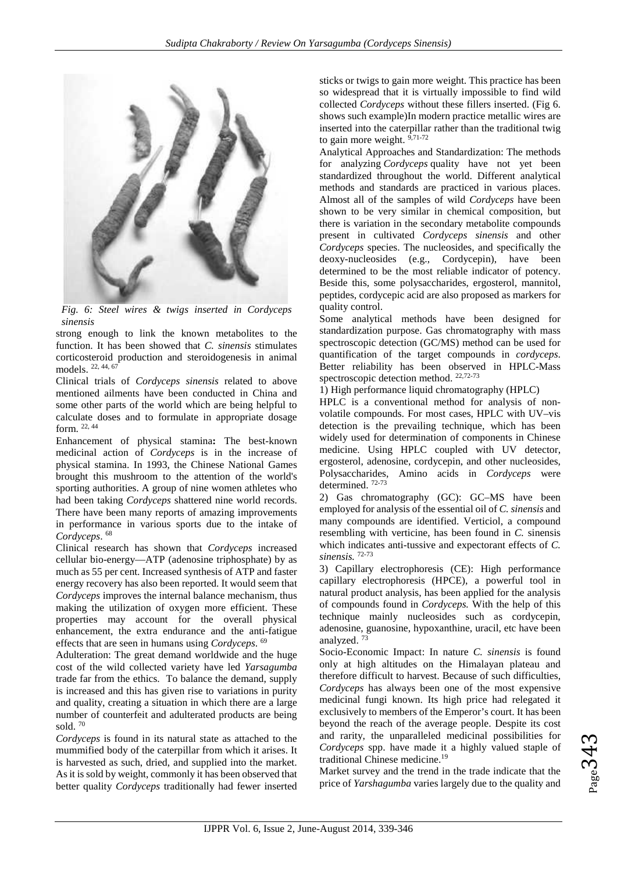

*Fig. 6: Steel wires & twigs inserted in Cordyceps sinensis*

strong enough to link the known metabolites to the function. It has been showed that *C. sinensis* stimulates corticosteroid production and steroidogenesis in animal models. 22, 44, <sup>67</sup>

Clinical trials of *Cordyceps sinensis* related to above mentioned ailments have been conducted in China and some other parts of the world which are being helpful to calculate doses and to formulate in appropriate dosage form. 22, 44

Enhancement of physical stamina**:** The best-known medicinal action of *Cordyceps* is in the increase of physical stamina. In 1993, the Chinese National Games brought this mushroom to the attention of the world's sporting authorities. A group of nine women athletes who had been taking *Cordyceps* shattered nine world records. There have been many reports of amazing improvements in performance in various sports due to the intake of *Cordyceps*. <sup>68</sup>

Clinical research has shown that *Cordyceps* increased cellular bio-energy—ATP (adenosine triphosphate) by as much as 55 per cent. Increased synthesis of ATP and faster energy recovery has also been reported. It would seem that *Cordyceps* improves the internal balance mechanism, thus making the utilization of oxygen more efficient. These properties may account for the overall physical enhancement, the extra endurance and the anti-fatigue effects that are seen in humans using *Cordyceps*. <sup>69</sup>

Adulteration: The great demand worldwide and the huge cost of the wild collected variety have led *Yarsagumba* trade far from the ethics. To balance the demand, supply is increased and this has given rise to variations in purity and quality, creating a situation in which there are a large number of counterfeit and adulterated products are being sold. <sup>70</sup>

*Cordyceps* is found in its natural state as attached to the mummified body of the caterpillar from which it arises. It is harvested as such, dried, and supplied into the market. As it is sold by weight, commonly it has been observed that better quality *Cordyceps* traditionally had fewer inserted sticks or twigs to gain more weight. This practice has been so widespread that it is virtually impossible to find wild collected *Cordyceps* without these fillers inserted. (Fig 6. shows such example)In modern practice metallic wires are inserted into the caterpillar rather than the traditional twig to gain more weight. 9,71-72

Analytical Approaches and Standardization: The methods for analyzing *Cordyceps* quality have not yet been standardized throughout the world. Different analytical methods and standards are practiced in various places. Almost all of the samples of wild *Cordyceps* have been shown to be very similar in chemical composition, but there is variation in the secondary metabolite compounds present in cultivated *Cordyceps sinensis* and other *Cordyceps* species. The nucleosides, and specifically the deoxy-nucleosides (e.g., Cordycepin), have been determined to be the most reliable indicator of potency. Beside this, some polysaccharides, ergosterol, mannitol, peptides, cordycepic acid are also proposed as markers for quality control.

Some analytical methods have been designed for standardization purpose. Gas chromatography with mass spectroscopic detection (GC/MS) method can be used for quantification of the target compounds in *cordyceps*. Better reliability has been observed in HPLC-Mass spectroscopic detection method. 22,72-73

1) High performance liquid chromatography (HPLC)

HPLC is a conventional method for analysis of non volatile compounds. For most cases, HPLC with UV–vis detection is the prevailing technique, which has been widely used for determination of components in Chinese medicine. Using HPLC coupled with UV detector, ergosterol, adenosine, cordycepin, and other nucleosides, Polysaccharides, Amino acids in *Cordyceps* were determined. 72-73

2) Gas chromatography (GC): GC–MS have been employed for analysis of the essential oil of *C. sinensis* and many compounds are identified. Verticiol, a compound resembling with verticine, has been found in *C.* sinensis which indicates anti-tussive and expectorant effects of *C. sinensis.* 72-73

3) Capillary electrophoresis (CE): High performance capillary electrophoresis (HPCE), a powerful tool in natural product analysis, has been applied for the analysis of compounds found in *Cordyceps.* With the help of this technique mainly nucleosides such as cordycepin, adenosine, guanosine, hypoxanthine, uracil, etc have been analyzed.

Socio-Economic Impact: In nature *C. sinensis* is found only at high altitudes on the Himalayan plateau and therefore difficult to harvest. Because of such difficulties, *Cordyceps* has always been one of the most expensive medicinal fungi known. Its high price had relegated it exclusively to members of the Emperor's court. It has been beyond the reach of the average people. Despite its cost and rarity, the unparalleled medicinal possibilities for *Cordyceps* spp. have made it a highly valued staple of traditional Chinese medicine.<sup>19</sup>

Market survey and the trend in the trade indicate that the price of *Yarshagumba* varies largely due to the quality and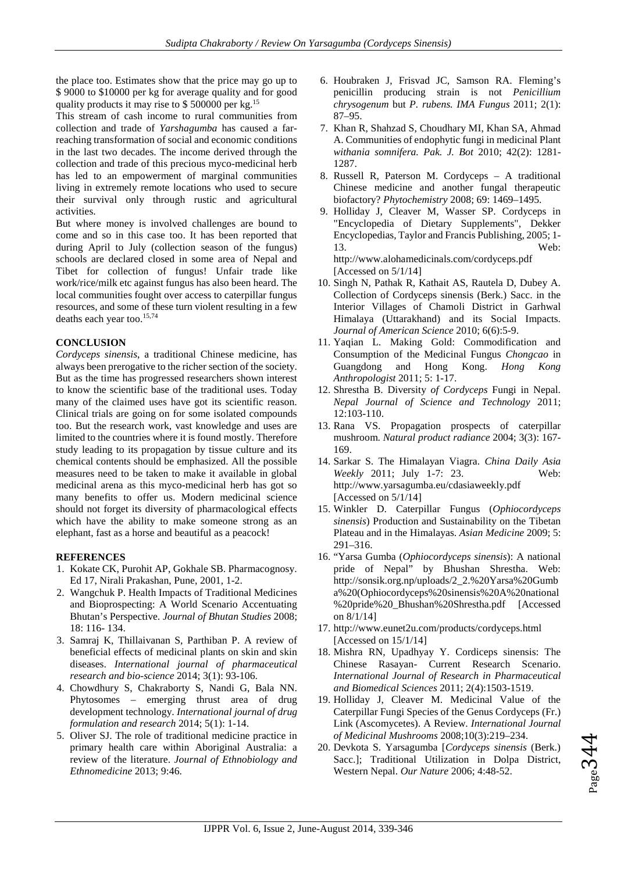the place too. Estimates show that the price may go up to \$ 9000 to \$10000 per kg for average quality and for good quality products it may rise to \$ 500000 per kg.<sup>15</sup>

This stream of cash income to rural communities from collection and trade of *Yarshagumba* has caused a farreaching transformation of social and economic conditions in the last two decades. The income derived through the collection and trade of this precious myco-medicinal herb has led to an empowerment of marginal communities living in extremely remote locations who used to secure their survival only through rustic and agricultural activities.

But where money is involved challenges are bound to come and so in this case too. It has been reported that during April to July (collection season of the fungus) schools are declared closed in some area of Nepal and Tibet for collection of fungus! Unfair trade like work/rice/milk etc against fungus has also been heard. The local communities fought over access to caterpillar fungus resources, and some of these turn violent resulting in a few deaths each year too.<sup>15,74</sup>

## **CONCLUSION**

*Cordyceps sinensis*, a traditional Chinese medicine, has always been prerogative to the richer section of the society. But as the time has progressed researchers shown interest to know the scientific base of the traditional uses. Today many of the claimed uses have got its scientific reason. Clinical trials are going on for some isolated compounds too. But the research work, vast knowledge and uses are limited to the countries where it is found mostly. Therefore study leading to its propagation by tissue culture and its chemical contents should be emphasized. All the possible measures need to be taken to make it available in global medicinal arena as this myco-medicinal herb has got so many benefits to offer us. Modern medicinal science should not forget its diversity of pharmacological effects which have the ability to make someone strong as an elephant, fast as a horse and beautiful as a peacock!

## **REFERENCES**

- 1. Kokate CK, Purohit AP, Gokhale SB. Pharmacognosy. Ed 17, Nirali Prakashan, Pune, 2001, 1-2.
- 2. Wangchuk P. Health Impacts of Traditional Medicines and Bioprospecting: A World Scenario Accentuating Bhutan's Perspective. *Journal of Bhutan Studies* 2008; 18: 116- 134.
- 3. Samraj K, Thillaivanan S, Parthiban P. A review of beneficial effects of medicinal plants on skin and skin diseases. *International journal of pharmaceutical research and bio-science* 2014; 3(1): 93-106.
- 4. Chowdhury S, Chakraborty S, Nandi G, Bala NN. Phytosomes – emerging thrust area of drug development technology. *International journal of drug formulation and research* 2014; 5(1): 1-14.
- 5. Oliver SJ. The role of traditional medicine practice in primary health care within Aboriginal Australia: a review of the literature. *Journal of Ethnobiology and Ethnomedicine* 2013; 9:46.
- 6. Houbraken J, Frisvad JC, Samson RA. Fleming's penicillin producing strain is not *Penicillium chrysogenum* but *P. rubens. IMA Fungus* 2011; 2(1): 87–95.
- 7. Khan R, Shahzad S, Choudhary MI, Khan SA, Ahmad A. Communities of endophytic fungi in medicinal Plant *withania somnifera. Pak. J. Bot* 2010; 42(2): 1281- 1287.
- 8. Russell R, Paterson M. Cordyceps A traditional Chinese medicine and another fungal therapeutic biofactory? *Phytochemistry* 2008; 69: 1469–1495.
- 9. Holliday J, Cleaver M, Wasser SP. Cordyceps in "Encyclopedia of Dietary Supplements", Dekker Encyclopedias, Taylor and Francis Publishing, 2005; 1- 13. Web: http://www.alohamedicinals.com/cordyceps.pdf [Accessed on 5/1/14]
- 10. Singh N, Pathak R, Kathait AS, Rautela D, Dubey A. Collection of Cordyceps sinensis (Berk.) Sacc. in the Interior Villages of Chamoli District in Garhwal Himalaya (Uttarakhand) and its Social Impacts. *Journal of American Science* 2010; 6(6):5-9.
- 11. Yaqian L. Making Gold: Commodification and Consumption of the Medicinal Fungus *Chongcao* in Guangdong and Hong Kong. *Hong Kong Anthropologist* 2011; 5: 1-17.
- 12. Shrestha B. Diversity *of Cordyceps* Fungi in Nepal. *Nepal Journal of Science and Technology* 2011; 12:103-110.
- 13. Rana VS. Propagation prospects of caterpillar mushroom. *Natural product radiance* 2004; 3(3): 167- 169.
- 14. Sarkar S. The Himalayan Viagra. *China Daily Asia Weekly* 2011; July 1-7: 23. Web: http://www.yarsagumba.eu/cdasiaweekly.pdf [Accessed on 5/1/14]
- 15. Winkler D. Caterpillar Fungus (*Ophiocordyceps sinensis*) Production and Sustainability on the Tibetan Plateau and in the Himalayas. *Asian Medicine* 2009; 5: 291–316.
- 16. "Yarsa Gumba (*Ophiocordyceps sinensis*): A national pride of Nepal" by Bhushan Shrestha. Web: http://sonsik.org.np/uploads/2\_2.%20Yarsa%20Gumb a%20(Ophiocordyceps%20sinensis%20A%20national %20pride%20\_Bhushan%20Shrestha.pdf [Accessed on 8/1/14]
- 17. http://www.eunet2u.com/products/cordyceps.html [Accessed on 15/1/14]
- 18. Mishra RN, Upadhyay Y. Cordiceps sinensis: The Chinese Rasayan- Current Research Scenario. *International Journal of Research in Pharmaceutical and Biomedical Sciences* 2011; 2(4):1503-1519.
- 19. Holliday J, Cleaver M. Medicinal Value of the Caterpillar Fungi Species of the Genus Cordyceps (Fr.) Link (Ascomycetes). A Review. *International Journal of Medicinal Mushrooms* 2008;10(3):219–234.
- 20. Devkota S. Yarsagumba [*Cordyceps sinensis* (Berk.) Sacc.]; Traditional Utilization in Dolpa District, Western Nepal. *Our Nature* 2006; 4:48-52.

 $Page344$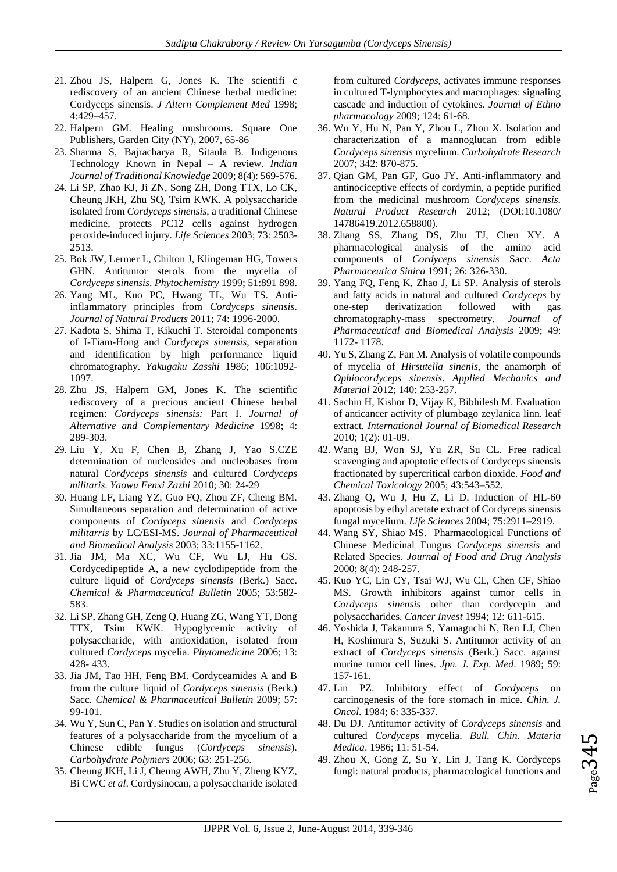- 21. Zhou JS, Halpern G, Jones K. The scientifi c rediscovery of an ancient Chinese herbal medicine: Cordyceps sinensis. *J Altern Complement Med* 1998; 4:429–457.
- 22. Halpern GM. Healing mushrooms. Square One Publishers, Garden City (NY), 2007, 65-86
- 23. Sharma S, Bajracharya R, Sitaula B. Indigenous Technology Known in Nepal – A review. *Indian Journal of Traditional Knowledge* 2009; 8(4): 569-576.
- 24. Li SP, Zhao KJ, Ji ZN, Song ZH, Dong TTX, Lo CK, Cheung JKH, Zhu SQ, Tsim KWK. A polysaccharide isolated from *Cordyceps sinensis*, a traditional Chinese medicine, protects PC12 cells against hydrogen peroxide-induced injury. *Life Sciences* 2003; 73: 2503- 2513.
- 25. Bok JW, Lermer L, Chilton J, Klingeman HG, Towers GHN. Antitumor sterols from the mycelia of *Cordyceps sinensis*. *Phytochemistry* 1999; 51:891 898.
- 26. Yang ML, Kuo PC, Hwang TL, Wu TS. Antiinflammatory principles from *Cordyceps sinensis*. *Journal of Natural Products* 2011; 74: 1996-2000.
- 27. Kadota S, Shima T, Kikuchi T. Steroidal components of I-Tiam-Hong and *Cordyceps sinensis*, separation and identification by high performance liquid chromatography. *Yakugaku Zasshi* 1986; 106:1092- 1097.
- 28. Zhu JS, Halpern GM, Jones K. The scientific rediscovery of a precious ancient Chinese herbal regimen: *Cordyceps sinensis:* Part I. *Journal of Alternative and Complementary Medicine* 1998; 4: 289-303.
- 29. Liu Y, Xu F, Chen B, Zhang J, Yao S.CZE determination of nucleosides and nucleobases from natural *Cordyceps sinensis* and cultured *Cordyceps militaris*. *Yaowu Fenxi Zazhi* 2010; 30: 24-29
- 30. Huang LF, Liang YZ, Guo FQ, Zhou ZF, Cheng BM. Simultaneous separation and determination of active components of *Cordyceps sinensis* and *Cordyceps militarris* by LC/ESI-MS. *Journal of Pharmaceutical and Biomedical Analysis* 2003; 33:1155-1162.
- 31. Jia JM, Ma XC, Wu CF, Wu LJ, Hu GS. Cordycedipeptide A, a new cyclodipeptide from the culture liquid of *Cordyceps sinensis* (Berk.) Sacc. *Chemical & Pharmaceutical Bulletin* 2005; 53:582- 583.
- 32. Li SP, Zhang GH, Zeng Q, Huang ZG, Wang YT, Dong TTX, Tsim KWK. Hypoglycemic activity of polysaccharide, with antioxidation, isolated from cultured *Cordyceps* mycelia. *Phytomedicine* 2006; 13: 428- 433.
- 33. Jia JM, Tao HH, Feng BM. Cordyceamides A and B from the culture liquid of *Cordyceps sinensis* (Berk.) Sacc. *Chemical & Pharmaceutical Bulletin* 2009; 57: 99-101.
- 34. Wu Y, Sun C, Pan Y. Studies on isolation and structural features of a polysaccharide from the mycelium of a Chinese edible fungus (*Cordyceps sinensis*). *Carbohydrate Polymers* 2006; 63: 251-256.
- 35. Cheung JKH, Li J, Cheung AWH, Zhu Y, Zheng KYZ, Bi CWC *et al*. Cordysinocan, a polysaccharide isolated

from cultured *Cordyceps*, activates immune responses in cultured T-lymphocytes and macrophages: signaling cascade and induction of cytokines. *Journal of Ethno pharmacology* 2009; 124: 61-68.

- 36. Wu Y, Hu N, Pan Y, Zhou L, Zhou X. Isolation and characterization of a mannoglucan from edible *Cordyceps sinensis* mycelium. *Carbohydrate Research* 2007; 342: 870-875.
- 37. Qian GM, Pan GF, Guo JY. Anti-inflammatory and antinociceptive effects of cordymin, a peptide purified from the medicinal mushroom *Cordyceps sinensis*. *Natural Product Research* 2012; (DOI:10.1080/ 14786419.2012.658800).
- 38. Zhang SS, Zhang DS, Zhu TJ, Chen XY. A pharmacological analysis of the amino acid components of *Cordyceps sinensis* Sacc. *Acta Pharmaceutica Sinica* 1991; 26: 326-330.
- 39. Yang FQ, Feng K, Zhao J, Li SP. Analysis of sterols and fatty acids in natural and cultured *Cordyceps* by one-step derivatization followed with gas chromatography-mass spectrometry. *Journal of Pharmaceutical and Biomedical Analysis* 2009; 49: 1172- 1178.
- 40. Yu S, Zhang Z, Fan M. Analysis of volatile compounds of mycelia of *Hirsutella sinenis*, the anamorph of *Ophiocordyceps sinensis*. *Applied Mechanics and Material* 2012; 140: 253-257.
- 41. Sachin H, Kishor D, Vijay K, Bibhilesh M. Evaluation of anticancer activity of plumbago zeylanica linn. leaf extract. *International Journal of Biomedical Research* 2010; 1(2): 01-09.
- 42. Wang BJ, Won SJ, Yu ZR, Su CL. Free radical scavenging and apoptotic effects of Cordyceps sinensis fractionated by supercritical carbon dioxide. *Food and Chemical Toxicology* 2005; 43:543–552.
- 43. Zhang Q, Wu J, Hu Z, Li D. Induction of HL-60 apoptosis by ethyl acetate extract of Cordyceps sinensis fungal mycelium. *Life Sciences* 2004; 75:2911–2919.
- 44. Wang SY, Shiao MS. Pharmacological Functions of Chinese Medicinal Fungus *Cordyceps sinensis* and Related Species. *Journal of Food and Drug Analysis* 2000; 8(4): 248-257.
- 45. Kuo YC, Lin CY, Tsai WJ, Wu CL, Chen CF, Shiao MS. Growth inhibitors against tumor cells in *Cordyceps sinensis* other than cordycepin and polysaccharides. *Cancer Invest* 1994; 12: 611-615.
- 46. Yoshida J, Takamura S, Yamaguchi N, Ren LJ, Chen H, Koshimura S, Suzuki S. Antitumor activity of an extract of *Cordyceps sinensis* (Berk.) Sacc. against murine tumor cell lines. *Jpn. J. Exp. Med*. 1989; 59: 157-161.
- 47. Lin PZ. Inhibitory effect of *Cordyceps* on carcinogenesis of the fore stomach in mice. *Chin. J. Oncol*. 1984; 6: 335-337.
- 48. Du DJ. Antitumor activity of *Cordyceps sinensis* and cultured *Cordyceps* mycelia. *Bull. Chin. Materia Medica*. 1986; 11: 51-54.
- 49. Zhou X, Gong Z, Su Y, Lin J, Tang K. Cordyceps fungi: natural products, pharmacological functions and